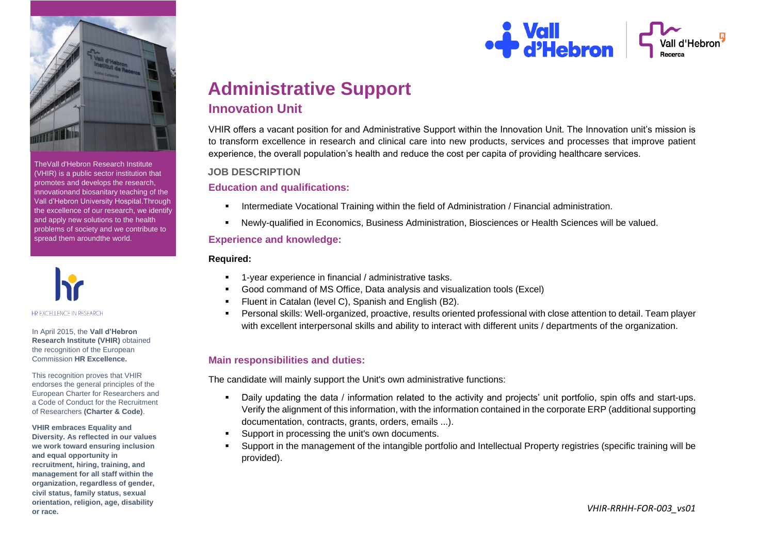

TheVall d'Hebron Research Institute (VHIR) is a public sector institution that promotes and develops the research, innovationand biosanitary teaching of the Vall d'Hebron University Hospital.Through the excellence of our research, we identify and apply new solutions to the health problems of society and we contribute to spread them aroundthe world.



In April 2015, the **Vall d'Hebron Research Institute (VHIR)** obtained the recognition of the European Commission **HR Excellence.**

This recognition proves that VHIR endorses the general principles of the European Charter for Researchers and a Code of Conduct for the Recruitment of Researchers **(Charter & Code)**.

**VHIR embraces Equality and Diversity. As reflected in our values we work toward ensuring inclusion and equal opportunity in recruitment, hiring, training, and management for all staff within the organization, regardless of gender, civil status, family status, sexual orientation, religion, age, disability or race.**



# **Administrative Support Innovation Unit**

VHIR offers a vacant position for and Administrative Support within the Innovation Unit. The Innovation unit's mission is to transform excellence in research and clinical care into new products, services and processes that improve patient experience, the overall population's health and reduce the cost per capita of providing healthcare services.

# **JOB DESCRIPTION**

**Education and qualifications:**

- Intermediate Vocational Training within the field of Administration / Financial administration.
- Newly-qualified in Economics, Business Administration, Biosciences or Health Sciences will be valued.

# **Experience and knowledge:**

### **Required:**

- 1-year experience in financial / administrative tasks.
- Good command of MS Office, Data analysis and visualization tools (Excel)
- Fluent in Catalan (level C), Spanish and English (B2).
- Personal skills: Well-organized, proactive, results oriented professional with close attention to detail. Team player with excellent interpersonal skills and ability to interact with different units / departments of the organization.

# **Main responsibilities and duties:**

The candidate will mainly support the Unit's own administrative functions:

- Daily updating the data / information related to the activity and projects' unit portfolio, spin offs and start-ups. Verify the alignment of this information, with the information contained in the corporate ERP (additional supporting documentation, contracts, grants, orders, emails ...).
- Support in processing the unit's own documents.
- Support in the management of the intangible portfolio and Intellectual Property registries (specific training will be provided).